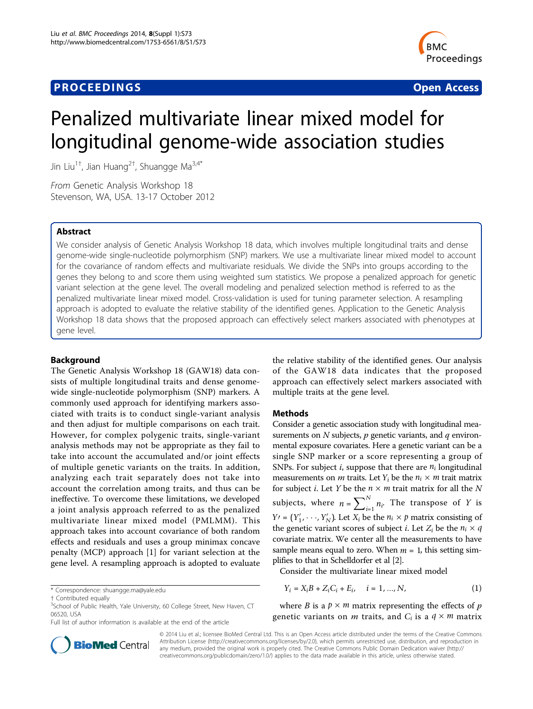# **PROCEEDINGS CONSUMING S** Open Access **CONSUMING S**



# Penalized multivariate linear mixed model for longitudinal genome-wide association studies

Jin Liu<sup>1†</sup>, Jian Huang<sup>2†</sup>, Shuangge Ma<sup>3,4\*</sup>

From Genetic Analysis Workshop 18 Stevenson, WA, USA. 13-17 October 2012

# Abstract

We consider analysis of Genetic Analysis Workshop 18 data, which involves multiple longitudinal traits and dense genome-wide single-nucleotide polymorphism (SNP) markers. We use a multivariate linear mixed model to account for the covariance of random effects and multivariate residuals. We divide the SNPs into groups according to the genes they belong to and score them using weighted sum statistics. We propose a penalized approach for genetic variant selection at the gene level. The overall modeling and penalized selection method is referred to as the penalized multivariate linear mixed model. Cross-validation is used for tuning parameter selection. A resampling approach is adopted to evaluate the relative stability of the identified genes. Application to the Genetic Analysis Workshop 18 data shows that the proposed approach can effectively select markers associated with phenotypes at gene level.

# Background

The Genetic Analysis Workshop 18 (GAW18) data consists of multiple longitudinal traits and dense genomewide single-nucleotide polymorphism (SNP) markers. A commonly used approach for identifying markers associated with traits is to conduct single-variant analysis and then adjust for multiple comparisons on each trait. However, for complex polygenic traits, single-variant analysis methods may not be appropriate as they fail to take into account the accumulated and/or joint effects of multiple genetic variants on the traits. In addition, analyzing each trait separately does not take into account the correlation among traits, and thus can be ineffective. To overcome these limitations, we developed a joint analysis approach referred to as the penalized multivariate linear mixed model (PMLMM). This approach takes into account covariance of both random effects and residuals and uses a group minimax concave penalty (MCP) approach [[1\]](#page-3-0) for variant selection at the gene level. A resampling approach is adopted to evaluate

\* Correspondence: [shuangge.ma@yale.edu](mailto:shuangge.ma@yale.edu)

the relative stability of the identified genes. Our analysis of the GAW18 data indicates that the proposed approach can effectively select markers associated with multiple traits at the gene level.

# Methods

Consider a genetic association study with longitudinal measurements on  $N$  subjects,  $p$  genetic variants, and  $q$  environmental exposure covariates. Here a genetic variant can be a single SNP marker or a score representing a group of SNPs. For subject  $i$ , suppose that there are  $n_i$  longitudinal measurements on *m* traits. Let  $Y_i$  be the  $n_i \times m$  trait matrix for subject *i*. Let *Y* be the  $n \times m$  trait matrix for all the *N* subjects, where  $n = \sum_{i=1}^{N} n_i$ . The transpose of Y is *Y*<sup> $\prime$ </sup> = (*Y*<sub>1</sub><sup> $\prime$ </sup>  $\cdots$ , *Y*<sub>N</sub><sup> $\prime$ </sup>). Let *X<sub>i</sub>* be the *n<sub>i</sub>*  $\times$  *p* matrix consisting of the genetic variant scores of subject *i*. Let  $Z_i$  be the  $n_i \times q$ covariate matrix. We center all the measurements to have sample means equal to zero. When  $m = 1$ , this setting simplifies to that in Schelldorfer et al [[2](#page-3-0)].

Consider the multivariate linear mixed model

$$
Y_i = X_i B + Z_i C_i + E_i, \quad i = 1, ..., N,
$$
 (1)

where *B* is a  $p \times m$  matrix representing the effects of p genetic variants on *m* traits, and  $C_i$  is a  $q \times m$  matrix



© 2014 Liu et al.; licensee BioMed Central Ltd. This is an Open Access article distributed under the terms of the Creative Commons Attribution License [\(http://creativecommons.org/licenses/by/2.0](http://creativecommons.org/licenses/by/2.0)), which permits unrestricted use, distribution, and reproduction in any medium, provided the original work is properly cited. The Creative Commons Public Domain Dedication waiver [\(http://](http://creativecommons.org/publicdomain/zero/1.0/) [creativecommons.org/publicdomain/zero/1.0/](http://creativecommons.org/publicdomain/zero/1.0/)) applies to the data made available in this article, unless otherwise stated.

<sup>†</sup> Contributed equally <sup>3</sup>

 $3$ School of Public Health, Yale University, 60 College Street, New Haven, CT 06520, USA

Full list of author information is available at the end of the article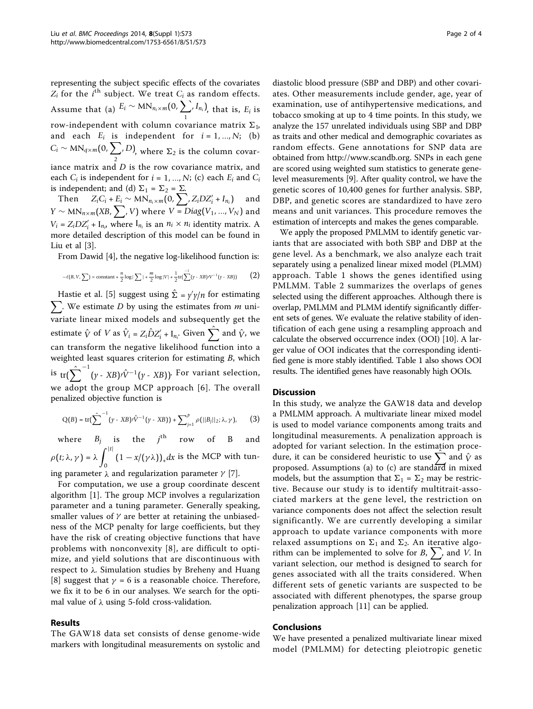representing the subject specific effects of the covariates  $Z_i$  for the  $i^{\text{th}}$  subject. We treat  $C_i$  as random effects. Assume that (a)  $E_i \sim \text{MN}_{n_i \times m}(0,\sum)$ 1 ,  $I_{n_i}$ ), that is,  $E_i$  is row-independent with column covariance matrix  $\Sigma_1$ , and each  $E_i$  is independent for  $i = 1, ..., N$ ; (b)  $C_i \sim MN_{q \times m}(0, \sum)$ 2 , D), where  $\Sigma_2$  is the column covariance matrix and  $\overrightarrow{D}$  is the row covariance matrix, and each  $C_i$  is independent for  $i = 1, ..., N$ ; (c) each  $E_i$  and  $C_i$ is independent; and (d)  $\Sigma_1 = \Sigma_2 = \Sigma$ .

Then  $Z_iC_i + \underline{E_i} \sim MN_{n_i \times m}(0, \sum, Z_i DZ'_i + I_{n_i})$  and *Y* ∼ MN<sub>*n*×*m*</sub>(*XB*,  $\sum$ , *V*) where *V* = *Diag*(*V*<sub>1</sub>, ..., *V*<sub>*N*</sub>) and  $V_i = Z_i D Z'_i + I_{n_i}$ , where  $I_{n_i}$  is an  $n_i \times n_i$  identity matrix. A more detailed description of this model can be found in Liu et al [\[3](#page-3-0)].

From Dawid [\[4](#page-3-0)], the negative log-likelihood function is:

$$
-\ell(B,V,\sum) = \text{constant} + \frac{n}{2}\log|\sum| + \frac{m}{2}\log|V| + \frac{1}{2}\text{tr}(\sum^{-1}(\gamma \cdot XB)V^{-1}(\gamma \cdot XB)) \qquad \textbf{(2)}
$$

Hastie et al. [\[5](#page-3-0)] suggest using  $\hat{\Sigma} = \gamma' \gamma / n$  for estimating  $\sum$ . We estimate D by using the estimates from m univariate linear mixed models and subsequently get the estimate  $\hat{V}$  of V as  $\hat{V}_i = Z_i \hat{D} Z_i' + I_{n_i'}$ . Given  $\sum$  and  $\hat{V}$ , we can transform the negative likelihood function into a weighted least squares criterion for estimating B, which is  $\mathrm{tr}(\hat{\sum}^{-1}(\gamma \cdot XB)\hat{\mathcal{V}}^{-1}(\gamma \cdot XB))$ . For variant selection, we adopt the group MCP approach [[6\]](#page-3-0). The overall penalized objective function is

$$
Q(B) = tr(\hat{\sum}^{-1} (\gamma \cdot \, XB) \cdot \hat{V}^{-1}(\gamma \cdot \, XB)) + \sum\nolimits_{j=1}^{p} \rho\big(||B_j||_2; \lambda, \gamma\big), \qquad \text{(3)}
$$

where  $B_j$  is the  $j^{\text{th}}$ row of B and  $\rho(t; \lambda, \gamma) = \lambda \int_0^{|t|}$  $\int_{0}^{1} (1 - x/(\gamma \lambda))_{+} dx$  is the MCP with tuning parameter  $λ$  and regularization parameter  $γ$  [\[7\]](#page-3-0).

For computation, we use a group coordinate descent algorithm [\[1](#page-3-0)]. The group MCP involves a regularization parameter and a tuning parameter. Generally speaking, smaller values of  $\gamma$  are better at retaining the unbiasedness of the MCP penalty for large coefficients, but they have the risk of creating objective functions that have problems with nonconvexity [[8](#page-3-0)], are difficult to optimize, and yield solutions that are discontinuous with respect to  $λ$ . Simulation studies by Breheny and Huang [[8\]](#page-3-0) suggest that  $\gamma = 6$  is a reasonable choice. Therefore, we fix it to be 6 in our analyses. We search for the optimal value of  $\lambda$  using 5-fold cross-validation.

# Results

The GAW18 data set consists of dense genome-wide markers with longitudinal measurements on systolic and

diastolic blood pressure (SBP and DBP) and other covariates. Other measurements include gender, age, year of examination, use of antihypertensive medications, and tobacco smoking at up to 4 time points. In this study, we analyze the 157 unrelated individuals using SBP and DBP as traits and other medical and demographic covariates as random effects. Gene annotations for SNP data are obtained from [http://www.scandb.org.](http://www.scandb.org) SNPs in each gene are scored using weighted sum statistics to generate genelevel measurements [\[9\]](#page-3-0). After quality control, we have the genetic scores of 10,400 genes for further analysis. SBP, DBP, and genetic scores are standardized to have zero means and unit variances. This procedure removes the estimation of intercepts and makes the genes comparable.

We apply the proposed PMLMM to identify genetic variants that are associated with both SBP and DBP at the gene level. As a benchmark, we also analyze each trait separately using a penalized linear mixed model (PLMM) approach. Table [1](#page-2-0) shows the genes identified using PMLMM. Table [2](#page-2-0) summarizes the overlaps of genes selected using the different approaches. Although there is overlap, PMLMM and PLMM identify significantly different sets of genes. We evaluate the relative stability of identification of each gene using a resampling approach and calculate the observed occurrence index (OOI) [[10](#page-3-0)]. A larger value of OOI indicates that the corresponding identified gene is more stably identified. Table [1](#page-2-0) also shows OOI results. The identified genes have reasonably high OOIs.

# Discussion

In this study, we analyze the GAW18 data and develop a PMLMM approach. A multivariate linear mixed model is used to model variance components among traits and longitudinal measurements. A penalization approach is adopted for variant selection. In the estimation procedure, it can be considered heuristic to use  $\sum$  and  $\hat{V}$  as proposed. Assumptions (a) to (c) are standard in mixed models, but the assumption that  $\Sigma_1 = \Sigma_2$  may be restrictive. Because our study is to identify multitrait-associated markers at the gene level, the restriction on variance components does not affect the selection result significantly. We are currently developing a similar approach to update variance components with more relaxed assumptions on  $\Sigma_1$  and  $\Sigma_2$ . An iterative algorithm can be implemented to solve for B,  $\sum$ , and V. In variant selection, our method is designed to search for genes associated with all the traits considered. When different sets of genetic variants are suspected to be associated with different phenotypes, the sparse group penalization approach [\[11\]](#page-3-0) can be applied.

#### Conclusions

We have presented a penalized multivariate linear mixed model (PMLMM) for detecting pleiotropic genetic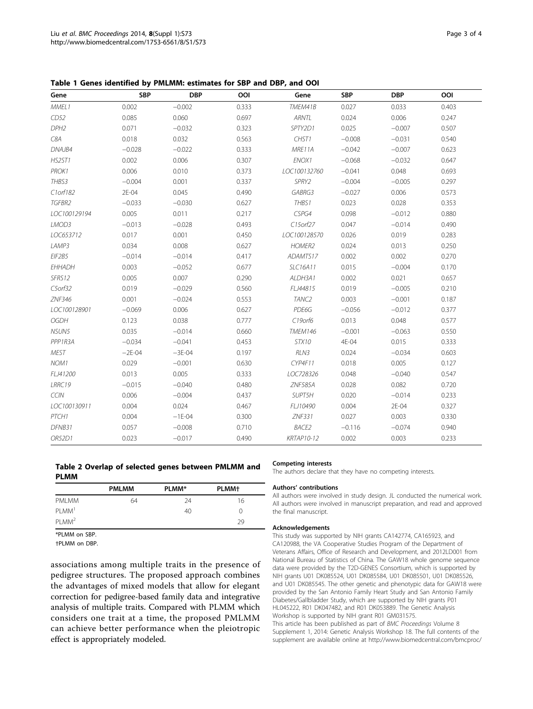<span id="page-2-0"></span>Table 1 Genes identified by PMLMM: estimates for SBP and DBP, and OOI

| Gene             | <b>SBP</b> | <b>DBP</b> | OOI   | Gene              | <b>SBP</b> | <b>DBP</b> | OOI   |
|------------------|------------|------------|-------|-------------------|------------|------------|-------|
| MMEL1            | 0.002      | $-0.002$   | 0.333 | TMEM41B           | 0.027      | 0.033      | 0.403 |
| CD52             | 0.085      | 0.060      | 0.697 | ARNTL             | 0.024      | 0.006      | 0.247 |
| DPH <sub>2</sub> | 0.071      | $-0.032$   | 0.323 | SPTY2D1           | 0.025      | $-0.007$   | 0.507 |
| C8A              | 0.018      | 0.032      | 0.563 | CHST1             | $-0.008$   | $-0.031$   | 0.540 |
| DNAJB4           | $-0.028$   | $-0.022$   | 0.333 | MRE11A            | $-0.042$   | $-0.007$   | 0.623 |
| HS2ST1           | 0.002      | 0.006      | 0.307 | ENOX1             | $-0.068$   | $-0.032$   | 0.647 |
| PROK1            | 0.006      | 0.010      | 0.373 | LOC100132760      | $-0.041$   | 0.048      | 0.693 |
| THBS3            | $-0.004$   | 0.001      | 0.337 | SPRY2             | $-0.004$   | $-0.005$   | 0.297 |
| C1orf182         | 2E-04      | 0.045      | 0.490 | GABRG3            | $-0.027$   | 0.006      | 0.573 |
| TGFBR2           | $-0.033$   | $-0.030$   | 0.627 | THBS1             | 0.023      | 0.028      | 0.353 |
| LOC100129194     | 0.005      | 0.011      | 0.217 | CSPG4             | 0.098      | $-0.012$   | 0.880 |
| LMOD3            | $-0.013$   | $-0.028$   | 0.493 | C15orf27          | 0.047      | $-0.014$   | 0.490 |
| LOC653712        | 0.017      | 0.001      | 0.450 | LOC100128570      | 0.026      | 0.019      | 0.283 |
| LAMP3            | 0.034      | 0.008      | 0.627 | HOMER2            | 0.024      | 0.013      | 0.250 |
| EIF2B5           | $-0.014$   | $-0.014$   | 0.417 | ADAMTS17          | 0.002      | 0.002      | 0.270 |
| EHHADH           | 0.003      | $-0.052$   | 0.677 | SLC16A11          | 0.015      | $-0.004$   | 0.170 |
| SFRS12           | 0.005      | 0.007      | 0.290 | ALDH3A1           | 0.002      | 0.021      | 0.657 |
| C5orf32          | 0.019      | $-0.029$   | 0.560 | FLJ44815          | 0.019      | $-0.005$   | 0.210 |
| ZNF346           | 0.001      | $-0.024$   | 0.553 | TANC <sub>2</sub> | 0.003      | $-0.001$   | 0.187 |
| LOC100128901     | $-0.069$   | 0.006      | 0.627 | PDE6G             | $-0.056$   | $-0.012$   | 0.377 |
| <b>OGDH</b>      | 0.123      | 0.038      | 0.777 | C19orf6           | 0.013      | 0.048      | 0.577 |
| NSUN5            | 0.035      | $-0.014$   | 0.660 | TMEM146           | $-0.001$   | $-0.063$   | 0.550 |
| PPP1R3A          | $-0.034$   | $-0.041$   | 0.453 | <b>STX10</b>      | 4E-04      | 0.015      | 0.333 |
| <b>MEST</b>      | $-2E-04$   | $-3E-04$   | 0.197 | RLN3              | 0.024      | $-0.034$   | 0.603 |
| NOM1             | 0.029      | $-0.001$   | 0.630 | CYP4F11           | 0.018      | 0.005      | 0.127 |
| FLJ41200         | 0.013      | 0.005      | 0.333 | LOC728326         | 0.048      | $-0.040$   | 0.547 |
| LRRC19           | $-0.015$   | $-0.040$   | 0.480 | ZNF585A           | 0.028      | 0.082      | 0.720 |
| <b>CCIN</b>      | 0.006      | $-0.004$   | 0.437 | SUPT5H            | 0.020      | $-0.014$   | 0.233 |
| LOC100130911     | 0.004      | 0.024      | 0.467 | FLJ10490          | 0.004      | 2E-04      | 0.327 |
| PTCH1            | 0.004      | $-1E-04$   | 0.300 | ZNF331            | 0.027      | 0.003      | 0.330 |
| DFNB31           | 0.057      | $-0.008$   | 0.710 | <b>BACE2</b>      | $-0.116$   | $-0.074$   | 0.940 |
| OR52D1           | 0.023      | $-0.017$   | 0.490 | KRTAP10-12        | 0.002      | 0.003      | 0.233 |

# Table 2 Overlap of selected genes between PMLMM and PLMM

|                    | <b>PMLMM</b> | PLMM* | <b>PLMM+</b>     |  |  |  |
|--------------------|--------------|-------|------------------|--|--|--|
| PMI MM             | 64           | 24    | 16               |  |  |  |
| PI MM <sup>1</sup> |              | 40    | $\left( \right)$ |  |  |  |
| PI MM <sup>2</sup> |              |       | 29               |  |  |  |
| *PLMM on SBP.      |              |       |                  |  |  |  |

†PLMM on DBP.

associations among multiple traits in the presence of pedigree structures. The proposed approach combines the advantages of mixed models that allow for elegant correction for pedigree-based family data and integrative analysis of multiple traits. Compared with PLMM which considers one trait at a time, the proposed PMLMM can achieve better performance when the pleiotropic effect is appropriately modeled.

#### Competing interests

The authors declare that they have no competing interests.

#### Authors' contributions

All authors were involved in study design. JL conducted the numerical work. All authors were involved in manuscript preparation, and read and approved the final manuscript.

#### Acknowledgements

This study was supported by NIH grants CA142774, CA165923, and CA120988, the VA Cooperative Studies Program of the Department of Veterans Affairs, Office of Research and Development, and 2012LD001 from National Bureau of Statistics of China. The GAW18 whole genome sequence data were provided by the T2D-GENES Consortium, which is supported by NIH grants U01 DK085524, U01 DK085584, U01 DK085501, U01 DK085526, and U01 DK085545. The other genetic and phenotypic data for GAW18 were provided by the San Antonio Family Heart Study and San Antonio Family Diabetes/Gallbladder Study, which are supported by NIH grants P01 HL045222, R01 DK047482, and R01 DK053889. The Genetic Analysis Workshop is supported by NIH grant R01 GM031575. This article has been published as part of BMC Proceedings Volume 8 Supplement 1, 2014: Genetic Analysis Workshop 18. The full contents of the supplement are available online at [http://www.biomedcentral.com/bmcproc/](http://www.biomedcentral.com/bmcproc/supplements/8/S1)